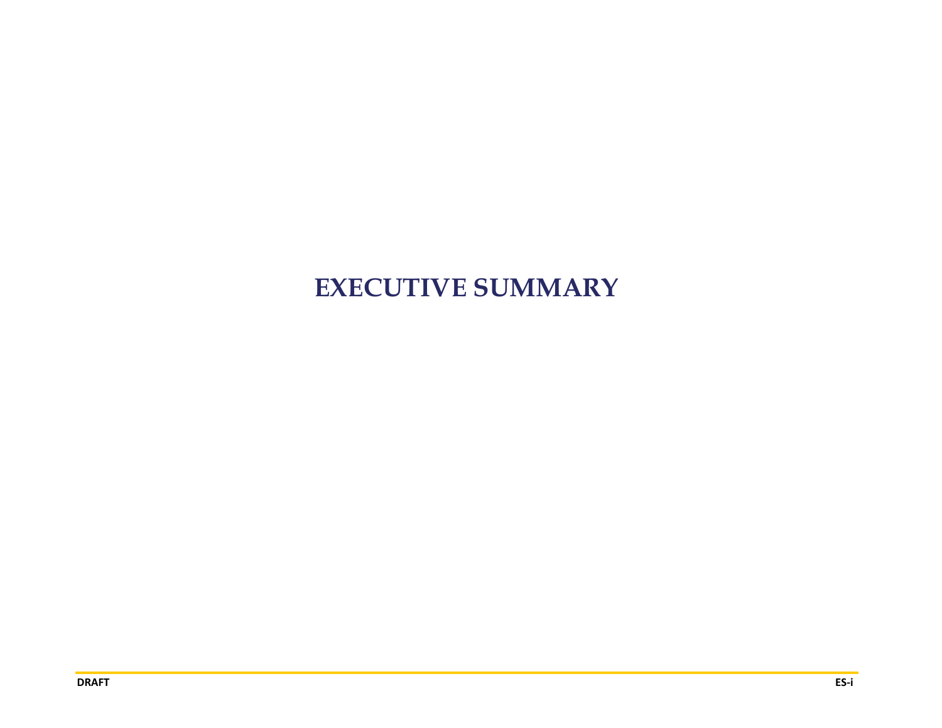# **EXECUTIVE SUMMARY**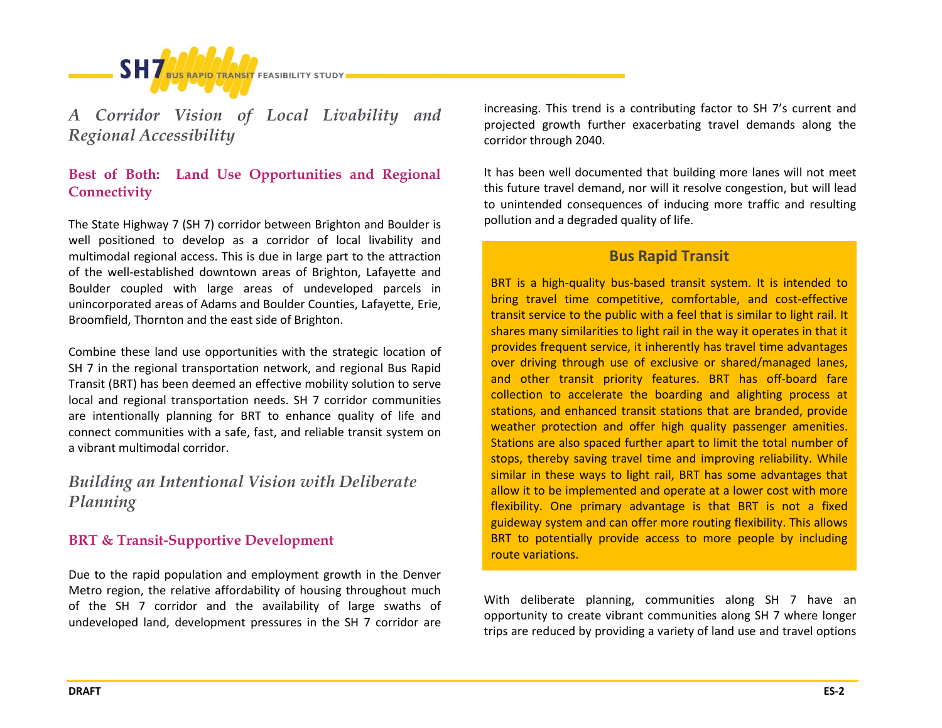

*A Corridor Vision of Local Livability and Regional Accessibility*

## **Best of Both: Land Use Opportunities and Regional Connectivity**

The State Highway 7 (SH 7) corridor between Brighton and Boulder is well positioned to develop as a corridor of local livability and multimodal regional access. This is due in large part to the attraction of the well-established downtown areas of Brighton, Lafayette and Boulder coupled with large areas of undeveloped parcels in unincorporated areas of Adams and Boulder Counties, Lafayette, Erie, Broomfield, Thornton and the east side of Brighton.

Combine these land use opportunities with the strategic location of SH 7 in the regional transportation network, and regional Bus Rapid Transit (BRT) has been deemed an effective mobility solution to serve local and regional transportation needs. SH 7 corridor communities are intentionally planning for BRT to enhance quality of life and connect communities with a safe, fast, and reliable transit system on a vibrant multimodal corridor.

# *Building an Intentional Vision with Deliberate Planning*

## **BRT & Transit-Supportive Development**

Due to the rapid population and employment growth in the Denver Metro region, the relative affordability of housing throughout much of the SH 7 corridor and the availability of large swaths of undeveloped land, development pressures in the SH 7 corridor are increasing. This trend is a contributing factor to SH 7's current and projected growth further exacerbating travel demands along the corridor through 2040.

It has been well documented that building more lanes will not meet this future travel demand, nor will it resolve congestion, but will lead to unintended consequences of inducing more traffic and resulting pollution and a degraded quality of life.

## **Bus Rapid Transit**

BRT is a high-quality bus-based transit system. It is intended to bring travel time competitive, comfortable, and cost-effective transit service to the public with a feel that is similar to light rail. It shares many similarities to light rail in the way it operates in that it provides frequent service, it inherently has travel time advantages over driving through use of exclusive or shared/managed lanes, and other transit priority features. BRT has off-board fare collection to accelerate the boarding and alighting process at stations, and enhanced transit stations that are branded, provide weather protection and offer high quality passenger amenities. Stations are also spaced further apart to limit the total number of stops, thereby saving travel time and improving reliability. While similar in these ways to light rail, BRT has some advantages that allow it to be implemented and operate at a lower cost with more flexibility. One primary advantage is that BRT is not a fixed guideway system and can offer more routing flexibility. This allows BRT to potentially provide access to more people by including route variations.

With deliberate planning, communities along SH 7 have an opportunity to create vibrant communities along SH 7 where longer trips are reduced by providing a variety of land use and travel options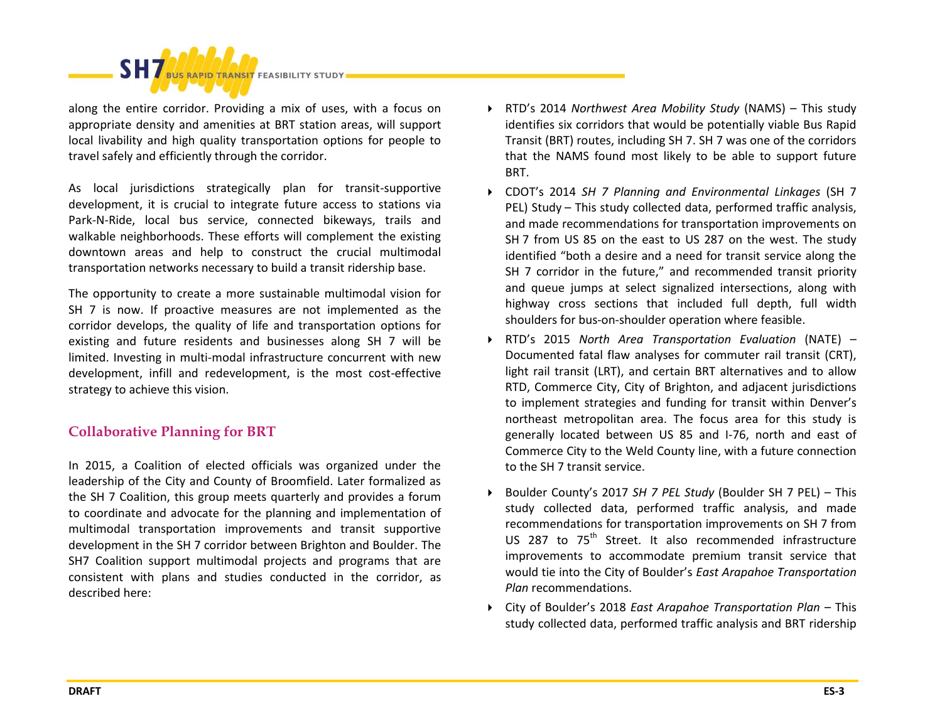

along the entire corridor. Providing a mix of uses, with a focus on appropriate density and amenities at BRT station areas, will support local livability and high quality transportation options for people to travel safely and efficiently through the corridor.

As local jurisdictions strategically plan for transit-supportive development, it is crucial to integrate future access to stations via Park-N-Ride, local bus service, connected bikeways, trails and walkable neighborhoods. These efforts will complement the existing downtown areas and help to construct the crucial multimodal transportation networks necessary to build a transit ridership base.

The opportunity to create a more sustainable multimodal vision for SH 7 is now. If proactive measures are not implemented as the corridor develops, the quality of life and transportation options for existing and future residents and businesses along SH 7 will be limited. Investing in multi-modal infrastructure concurrent with new development, infill and redevelopment, is the most cost-effective strategy to achieve this vision.

## **Collaborative Planning for BRT**

In 2015, a Coalition of elected officials was organized under the leadership of the City and County of Broomfield. Later formalized as the SH 7 Coalition, this group meets quarterly and provides a forum to coordinate and advocate for the planning and implementation of multimodal transportation improvements and transit supportive development in the SH 7 corridor between Brighton and Boulder. The SH7 Coalition support multimodal projects and programs that are consistent with plans and studies conducted in the corridor, as described here:

- RTD's 2014 *Northwest Area Mobility Study* (NAMS) This study identifies six corridors that would be potentially viable Bus Rapid Transit (BRT) routes, including SH 7. SH 7 was one of the corridors that the NAMS found most likely to be able to support future BRT.
- CDOT's 2014 *SH 7 Planning and Environmental Linkages* (SH 7 PEL) Study – This study collected data, performed traffic analysis, and made recommendations for transportation improvements on SH 7 from US 85 on the east to US 287 on the west. The study identified "both a desire and a need for transit service along the SH 7 corridor in the future," and recommended transit priority and queue jumps at select signalized intersections, along with highway cross sections that included full depth, full width shoulders for bus-on-shoulder operation where feasible.
- RTD's 2015 *North Area Transportation Evaluation* (NATE) Documented fatal flaw analyses for commuter rail transit (CRT), light rail transit (LRT), and certain BRT alternatives and to allow RTD, Commerce City, City of Brighton, and adjacent jurisdictions to implement strategies and funding for transit within Denver's northeast metropolitan area. The focus area for this study is generally located between US 85 and I-76, north and east of Commerce City to the Weld County line, with a future connection to the SH 7 transit service.
- Boulder County's 2017 *SH 7 PEL Study* (Boulder SH 7 PEL) This study collected data, performed traffic analysis, and made recommendations for transportation improvements on SH 7 from US 287 to 75<sup>th</sup> Street. It also recommended infrastructure improvements to accommodate premium transit service that would tie into the City of Boulder's *East Arapahoe Transportation Plan* recommendations.
- City of Boulder's 2018 *East Arapahoe Transportation Plan* This study collected data, performed traffic analysis and BRT ridership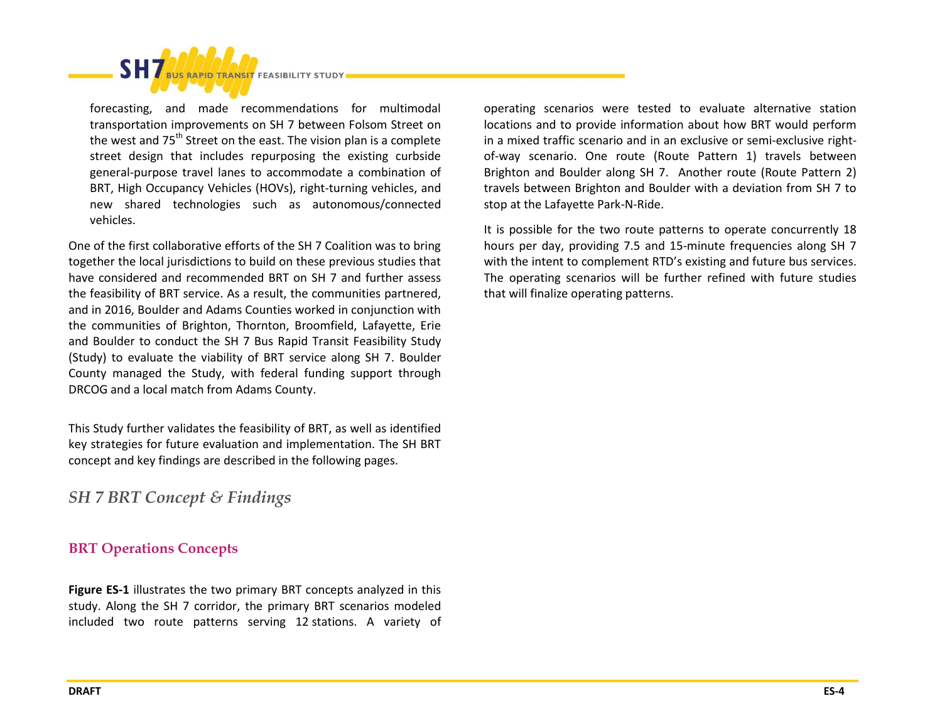**RAPID TRANSIT FEASIBILITY STUDY** forecasting, and made recommendations for multimodal transportation improvements on SH 7 between Folsom Street on the west and  $75<sup>th</sup>$  Street on the east. The vision plan is a complete street design that includes repurposing the existing curbside general-purpose travel lanes to accommodate a combination of BRT, High Occupancy Vehicles (HOVs), right-turning vehicles, and

new shared technologies such as autonomous/connected vehicles.

One of the first collaborative efforts of the SH 7 Coalition was to bring together the local jurisdictions to build on these previous studies that have considered and recommended BRT on SH 7 and further assess the feasibility of BRT service. As a result, the communities partnered, and in 2016, Boulder and Adams Counties worked in conjunction with the communities of Brighton, Thornton, Broomfield, Lafayette, Erie and Boulder to conduct the SH 7 Bus Rapid Transit Feasibility Study (Study) to evaluate the viability of BRT service along SH 7. Boulder County managed the Study, with federal funding support through DRCOG and a local match from Adams County.

This Study further validates the feasibility of BRT, as well as identified key strategies for future evaluation and implementation. The SH BRT concept and key findings are described in the following pages.

*SH 7 BRT Concept & Findings* 

#### **BRT Operations Concepts**

**Figure ES-1** illustrates the two primary BRT concepts analyzed in this study. Along the SH 7 corridor, the primary BRT scenarios modeled included two route patterns serving 12 stations. A variety of

operating scenarios were tested to evaluate alternative station locations and to provide information about how BRT would perform in a mixed traffic scenario and in an exclusive or semi-exclusive rightof-way scenario. One route (Route Pattern 1) travels between Brighton and Boulder along SH 7. Another route (Route Pattern 2) travels between Brighton and Boulder with a deviation from SH 7 to stop at the Lafayette Park-N-Ride.

It is possible for the two route patterns to operate concurrently 18 hours per day, providing 7.5 and 15-minute frequencies along SH 7 with the intent to complement RTD's existing and future bus services. The operating scenarios will be further refined with future studies that will finalize operating patterns.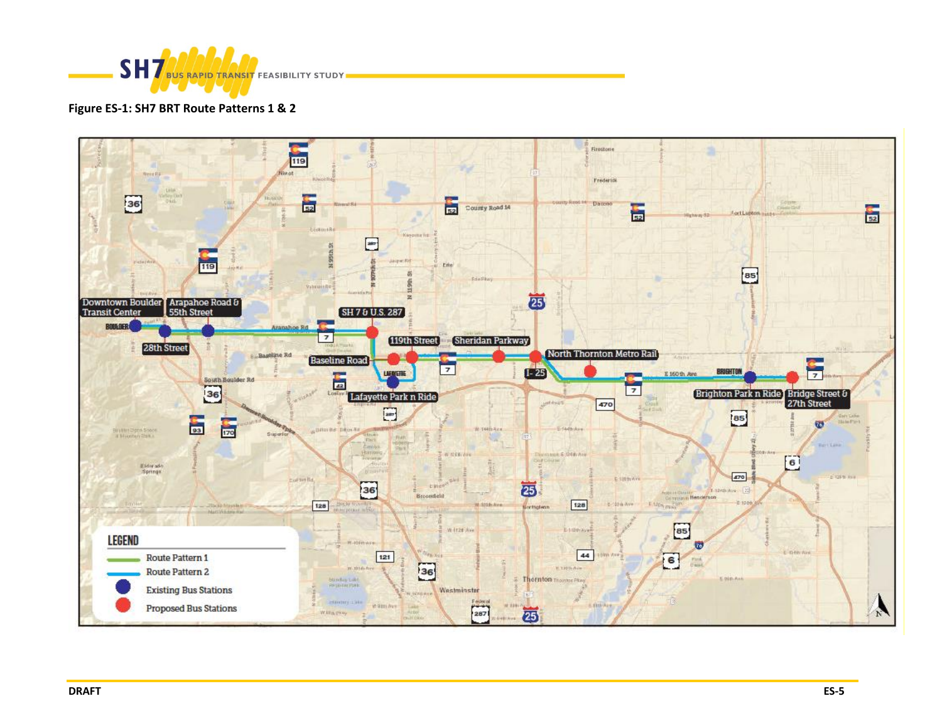

#### **Figure ES-1: SH7 BRT Route Patterns 1 & 2**

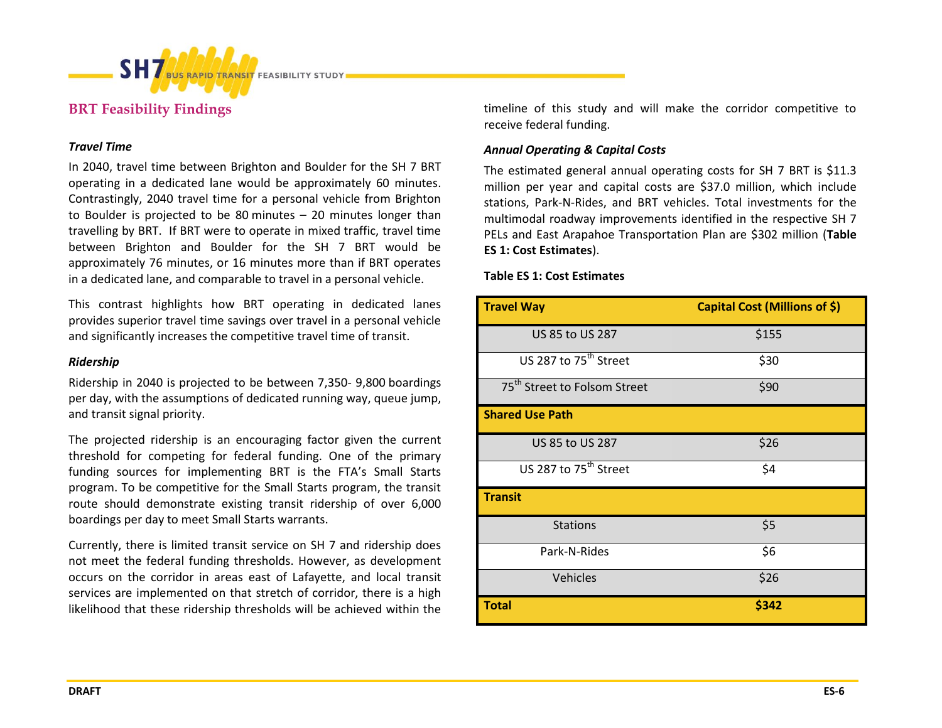

## **BRT Feasibility Findings**

#### *Travel Time*

In 2040, travel time between Brighton and Boulder for the SH 7 BRT operating in a dedicated lane would be approximately 60 minutes. Contrastingly, 2040 travel time for a personal vehicle from Brighton to Boulder is projected to be 80 minutes – 20 minutes longer than travelling by BRT. If BRT were to operate in mixed traffic, travel time between Brighton and Boulder for the SH 7 BRT would be approximately 76 minutes, or 16 minutes more than if BRT operates in a dedicated lane, and comparable to travel in a personal vehicle.

This contrast highlights how BRT operating in dedicated lanes provides superior travel time savings over travel in a personal vehicle and significantly increases the competitive travel time of transit.

#### *Ridership*

Ridership in 2040 is projected to be between 7,350- 9,800 boardings per day, with the assumptions of dedicated running way, queue jump, and transit signal priority.

The projected ridership is an encouraging factor given the current threshold for competing for federal funding. One of the primary funding sources for implementing BRT is the FTA's Small Starts program. To be competitive for the Small Starts program, the transit route should demonstrate existing transit ridership of over 6,000 boardings per day to meet Small Starts warrants.

Currently, there is limited transit service on SH 7 and ridership does not meet the federal funding thresholds. However, as development occurs on the corridor in areas east of Lafayette, and local transit services are implemented on that stretch of corridor, there is a high likelihood that these ridership thresholds will be achieved within the timeline of this study and will make the corridor competitive to receive federal funding.

#### *Annual Operating & Capital Costs*

The estimated general annual operating costs for SH 7 BRT is \$11.3 million per year and capital costs are \$37.0 million, which include stations, Park-N-Rides, and BRT vehicles. Total investments for the multimodal roadway improvements identified in the respective SH 7 PELs and East Arapahoe Transportation Plan are \$302 million (**Table ES 1: Cost Estimates**).

**Table ES 1: Cost Estimates**

| <b>Travel Way</b>                        | Capital Cost (Millions of \$) |
|------------------------------------------|-------------------------------|
| US 85 to US 287                          | \$155                         |
| US 287 to 75 <sup>th</sup> Street        | \$30                          |
| 75 <sup>th</sup> Street to Folsom Street | \$90                          |
| <b>Shared Use Path</b>                   |                               |
| US 85 to US 287                          | \$26                          |
| US 287 to 75 <sup>th</sup> Street        | \$4                           |
| <b>Transit</b>                           |                               |
| <b>Stations</b>                          | \$5                           |
| Park-N-Rides                             | \$6                           |
| Vehicles                                 | \$26                          |
| <b>Total</b>                             | \$342                         |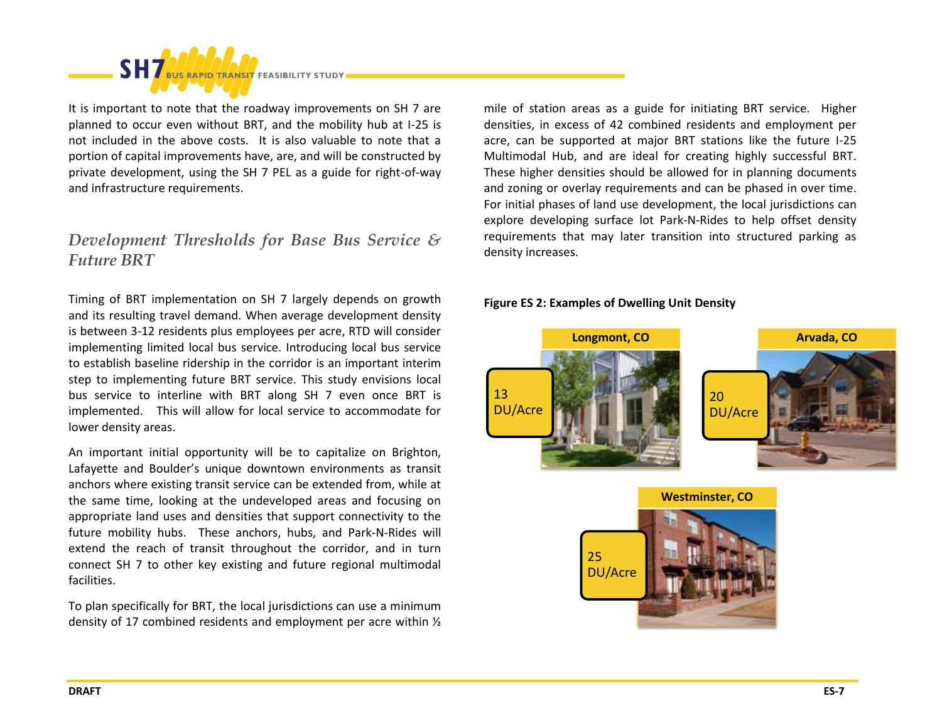

It is important to note that the roadway improvements on SH 7 are planned to occur even without BRT, and the mobility hub at I-25 is not included in the above costs. It is also valuable to note that a portion of capital improvements have, are, and will be constructed by private development, using the SH 7 PEL as a guide for right-of-way and infrastructure requirements.

# *Development Thresholds for Base Bus Service & Future BRT*

Timing of BRT implementation on SH 7 largely depends on growth and its resulting travel demand. When average development density is between 3-12 residents plus employees per acre, RTD will consider implementing limited local bus service. Introducing local bus service to establish baseline ridership in the corridor is an important interim step to implementing future BRT service. This study envisions local bus service to interline with BRT along SH 7 even once BRT is implemented. This will allow for local service to accommodate for lower density areas.

An important initial opportunity will be to capitalize on Brighton, Lafayette and Boulder's unique downtown environments as transit anchors where existing transit service can be extended from, while at the same time, looking at the undeveloped areas and focusing on appropriate land uses and densities that support connectivity to the future mobility hubs. These anchors, hubs, and Park-N-Rides will extend the reach of transit throughout the corridor, and in turn connect SH 7 to other key existing and future regional multimodal facilities.

To plan specifically for BRT, the local jurisdictions can use a minimum density of 17 combined residents and employment per acre within ½

mile of station areas as a guide for initiating BRT service. Higher densities, in excess of 42 combined residents and employment per acre, can be supported at major BRT stations like the future I-25 Multimodal Hub, and are ideal for creating highly successful BRT. These higher densities should be allowed for in planning documents and zoning or overlay requirements and can be phased in over time. For initial phases of land use development, the local jurisdictions can explore developing surface lot Park-N-Rides to help offset density requirements that may later transition into structured parking as density increases.

#### **Figure ES 2: Examples of Dwelling Unit Density**



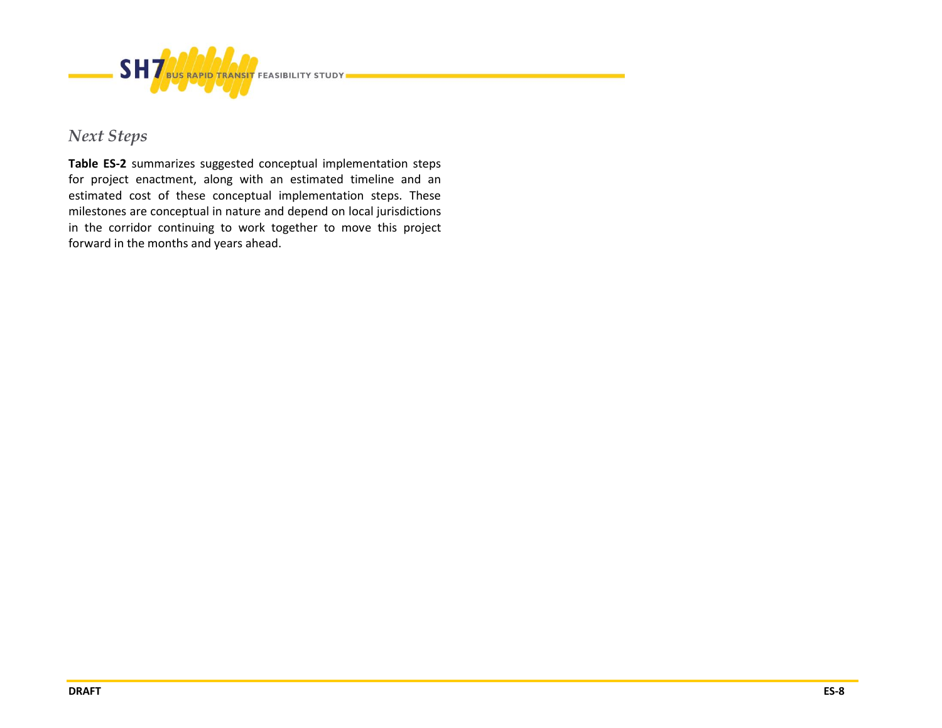

# *Next Steps*

**Table ES-2** summarizes suggested conceptual implementation steps for project enactment, along with an estimated timeline and an estimated cost of these conceptual implementation steps. These milestones are conceptual in nature and depend on local jurisdictions in the corridor continuing to work together to move this project forward in the months and years ahead.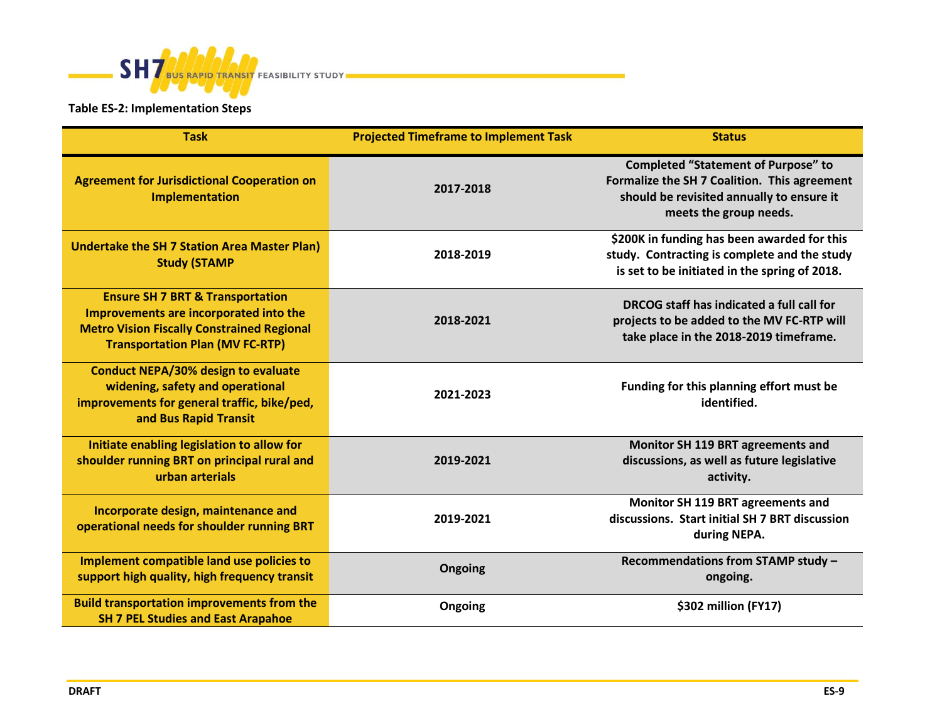

## **Table ES-2: Implementation Steps**

| <b>Task</b>                                                                                                                                                                          | <b>Projected Timeframe to Implement Task</b> | <b>Status</b>                                                                                                                                                     |
|--------------------------------------------------------------------------------------------------------------------------------------------------------------------------------------|----------------------------------------------|-------------------------------------------------------------------------------------------------------------------------------------------------------------------|
| <b>Agreement for Jurisdictional Cooperation on</b><br><b>Implementation</b>                                                                                                          | 2017-2018                                    | <b>Completed "Statement of Purpose" to</b><br>Formalize the SH 7 Coalition. This agreement<br>should be revisited annually to ensure it<br>meets the group needs. |
| <b>Undertake the SH 7 Station Area Master Plan)</b><br><b>Study (STAMP</b>                                                                                                           | 2018-2019                                    | \$200K in funding has been awarded for this<br>study. Contracting is complete and the study<br>is set to be initiated in the spring of 2018.                      |
| <b>Ensure SH 7 BRT &amp; Transportation</b><br>Improvements are incorporated into the<br><b>Metro Vision Fiscally Constrained Regional</b><br><b>Transportation Plan (MV FC-RTP)</b> | 2018-2021                                    | DRCOG staff has indicated a full call for<br>projects to be added to the MV FC-RTP will<br>take place in the 2018-2019 timeframe.                                 |
| <b>Conduct NEPA/30% design to evaluate</b><br>widening, safety and operational<br>improvements for general traffic, bike/ped,<br>and Bus Rapid Transit                               | 2021-2023                                    | Funding for this planning effort must be<br>identified.                                                                                                           |
| Initiate enabling legislation to allow for<br>shoulder running BRT on principal rural and<br>urban arterials                                                                         | 2019-2021                                    | Monitor SH 119 BRT agreements and<br>discussions, as well as future legislative<br>activity.                                                                      |
| Incorporate design, maintenance and<br>operational needs for shoulder running BRT                                                                                                    | 2019-2021                                    | Monitor SH 119 BRT agreements and<br>discussions. Start initial SH 7 BRT discussion<br>during NEPA.                                                               |
| Implement compatible land use policies to<br>support high quality, high frequency transit                                                                                            | Ongoing                                      | Recommendations from STAMP study -<br>ongoing.                                                                                                                    |
| <b>Build transportation improvements from the</b><br><b>SH 7 PEL Studies and East Arapahoe</b>                                                                                       | Ongoing                                      | \$302 million (FY17)                                                                                                                                              |